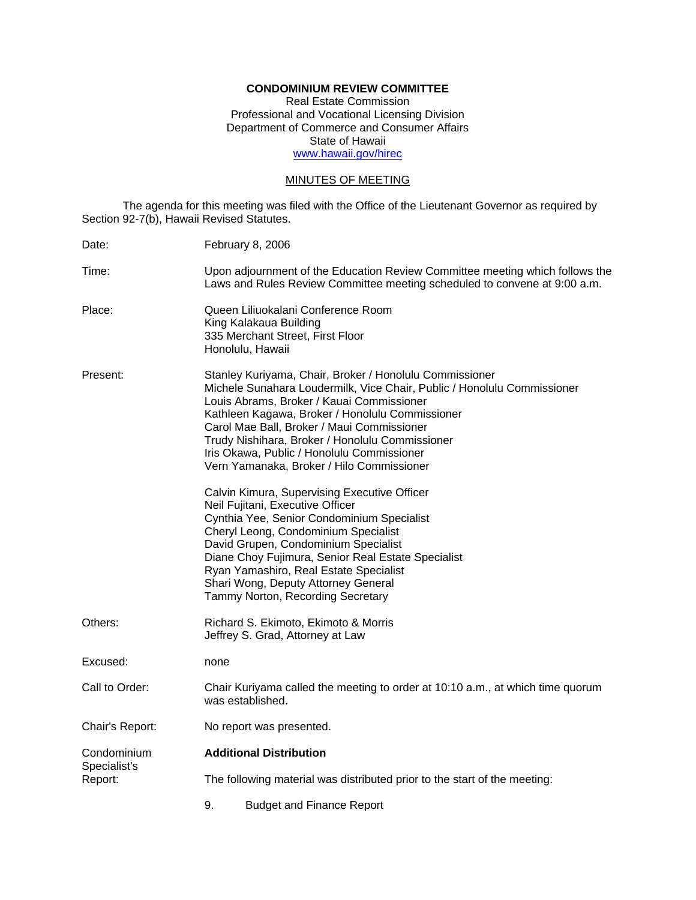# **CONDOMINIUM REVIEW COMMITTEE**

Real Estate Commission Professional and Vocational Licensing Division Department of Commerce and Consumer Affairs State of Hawaii www.hawaii.gov/hirec

# MINUTES OF MEETING

The agenda for this meeting was filed with the Office of the Lieutenant Governor as required by Section 92-7(b), Hawaii Revised Statutes.

| Date:                                  | February 8, 2006                                                                                                                                                                                                                                                                                                                                                                                                               |
|----------------------------------------|--------------------------------------------------------------------------------------------------------------------------------------------------------------------------------------------------------------------------------------------------------------------------------------------------------------------------------------------------------------------------------------------------------------------------------|
| Time:                                  | Upon adjournment of the Education Review Committee meeting which follows the<br>Laws and Rules Review Committee meeting scheduled to convene at 9:00 a.m.                                                                                                                                                                                                                                                                      |
| Place:                                 | Queen Liliuokalani Conference Room<br>King Kalakaua Building<br>335 Merchant Street, First Floor<br>Honolulu, Hawaii                                                                                                                                                                                                                                                                                                           |
| Present:                               | Stanley Kuriyama, Chair, Broker / Honolulu Commissioner<br>Michele Sunahara Loudermilk, Vice Chair, Public / Honolulu Commissioner<br>Louis Abrams, Broker / Kauai Commissioner<br>Kathleen Kagawa, Broker / Honolulu Commissioner<br>Carol Mae Ball, Broker / Maui Commissioner<br>Trudy Nishihara, Broker / Honolulu Commissioner<br>Iris Okawa, Public / Honolulu Commissioner<br>Vern Yamanaka, Broker / Hilo Commissioner |
|                                        | Calvin Kimura, Supervising Executive Officer<br>Neil Fujitani, Executive Officer<br>Cynthia Yee, Senior Condominium Specialist<br>Cheryl Leong, Condominium Specialist<br>David Grupen, Condominium Specialist<br>Diane Choy Fujimura, Senior Real Estate Specialist<br>Ryan Yamashiro, Real Estate Specialist<br>Shari Wong, Deputy Attorney General<br>Tammy Norton, Recording Secretary                                     |
| Others:                                | Richard S. Ekimoto, Ekimoto & Morris<br>Jeffrey S. Grad, Attorney at Law                                                                                                                                                                                                                                                                                                                                                       |
| Excused:                               | none                                                                                                                                                                                                                                                                                                                                                                                                                           |
| Call to Order:                         | Chair Kuriyama called the meeting to order at 10:10 a.m., at which time quorum<br>was established.                                                                                                                                                                                                                                                                                                                             |
| Chair's Report:                        | No report was presented.                                                                                                                                                                                                                                                                                                                                                                                                       |
| Condominium<br>Specialist's<br>Report: | <b>Additional Distribution</b>                                                                                                                                                                                                                                                                                                                                                                                                 |
|                                        | The following material was distributed prior to the start of the meeting:                                                                                                                                                                                                                                                                                                                                                      |
|                                        | 9.<br><b>Budget and Finance Report</b>                                                                                                                                                                                                                                                                                                                                                                                         |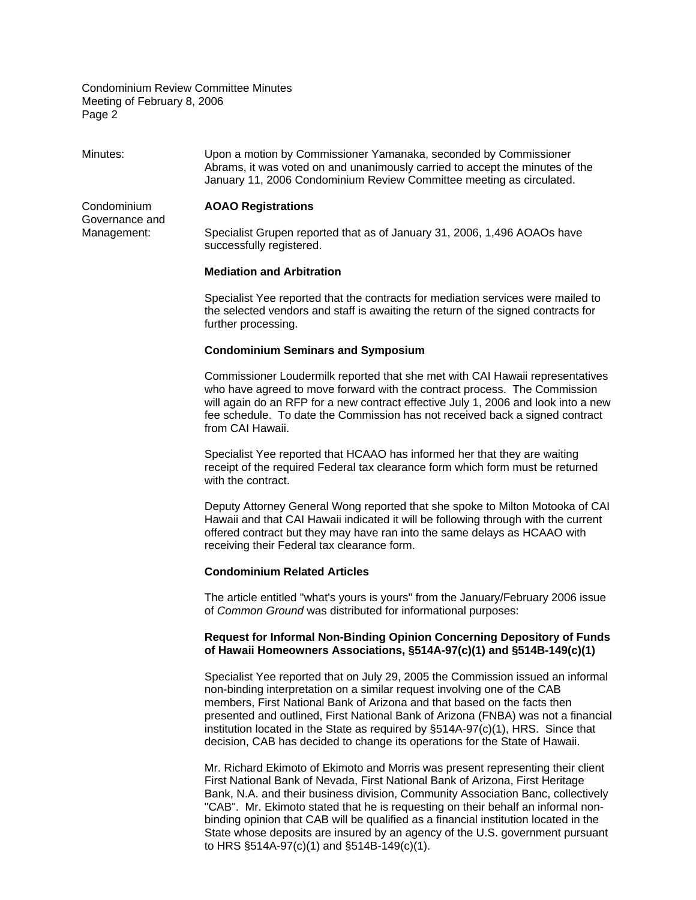Minutes: Upon a motion by Commissioner Yamanaka, seconded by Commissioner Abrams, it was voted on and unanimously carried to accept the minutes of the January 11, 2006 Condominium Review Committee meeting as circulated.

## Condominium **AOAO Registrations**

Governance and

Management: Specialist Grupen reported that as of January 31, 2006, 1,496 AOAOs have successfully registered.

### **Mediation and Arbitration**

Specialist Yee reported that the contracts for mediation services were mailed to the selected vendors and staff is awaiting the return of the signed contracts for further processing.

## **Condominium Seminars and Symposium**

Commissioner Loudermilk reported that she met with CAI Hawaii representatives who have agreed to move forward with the contract process. The Commission will again do an RFP for a new contract effective July 1, 2006 and look into a new fee schedule. To date the Commission has not received back a signed contract from CAI Hawaii.

Specialist Yee reported that HCAAO has informed her that they are waiting receipt of the required Federal tax clearance form which form must be returned with the contract.

Deputy Attorney General Wong reported that she spoke to Milton Motooka of CAI Hawaii and that CAI Hawaii indicated it will be following through with the current offered contract but they may have ran into the same delays as HCAAO with receiving their Federal tax clearance form.

## **Condominium Related Articles**

The article entitled "what's yours is yours" from the January/February 2006 issue of *Common Ground* was distributed for informational purposes:

# **Request for Informal Non-Binding Opinion Concerning Depository of Funds of Hawaii Homeowners Associations, §514A-97(c)(1) and §514B-149(c)(1)**

Specialist Yee reported that on July 29, 2005 the Commission issued an informal non-binding interpretation on a similar request involving one of the CAB members, First National Bank of Arizona and that based on the facts then presented and outlined, First National Bank of Arizona (FNBA) was not a financial institution located in the State as required by §514A-97(c)(1), HRS. Since that decision, CAB has decided to change its operations for the State of Hawaii.

Mr. Richard Ekimoto of Ekimoto and Morris was present representing their client First National Bank of Nevada, First National Bank of Arizona, First Heritage Bank, N.A. and their business division, Community Association Banc, collectively "CAB". Mr. Ekimoto stated that he is requesting on their behalf an informal nonbinding opinion that CAB will be qualified as a financial institution located in the State whose deposits are insured by an agency of the U.S. government pursuant to HRS §514A-97(c)(1) and §514B-149(c)(1).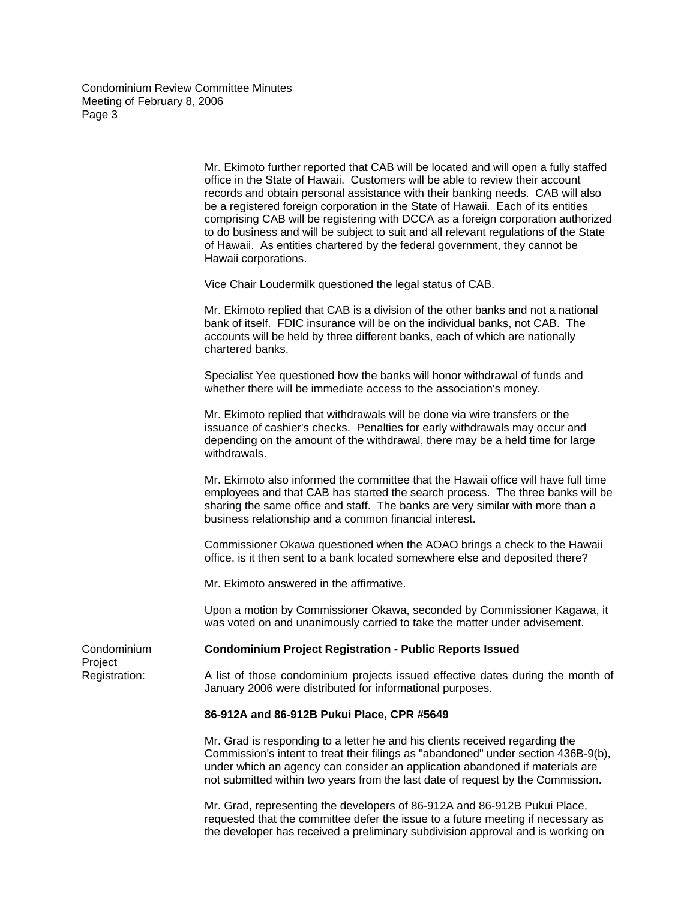> Mr. Ekimoto further reported that CAB will be located and will open a fully staffed office in the State of Hawaii. Customers will be able to review their account records and obtain personal assistance with their banking needs. CAB will also be a registered foreign corporation in the State of Hawaii. Each of its entities comprising CAB will be registering with DCCA as a foreign corporation authorized to do business and will be subject to suit and all relevant regulations of the State of Hawaii. As entities chartered by the federal government, they cannot be Hawaii corporations.

Vice Chair Loudermilk questioned the legal status of CAB.

Mr. Ekimoto replied that CAB is a division of the other banks and not a national bank of itself. FDIC insurance will be on the individual banks, not CAB. The accounts will be held by three different banks, each of which are nationally chartered banks.

Specialist Yee questioned how the banks will honor withdrawal of funds and whether there will be immediate access to the association's money.

Mr. Ekimoto replied that withdrawals will be done via wire transfers or the issuance of cashier's checks. Penalties for early withdrawals may occur and depending on the amount of the withdrawal, there may be a held time for large withdrawals.

Mr. Ekimoto also informed the committee that the Hawaii office will have full time employees and that CAB has started the search process. The three banks will be sharing the same office and staff. The banks are very similar with more than a business relationship and a common financial interest.

Commissioner Okawa questioned when the AOAO brings a check to the Hawaii office, is it then sent to a bank located somewhere else and deposited there?

Mr. Ekimoto answered in the affirmative.

Upon a motion by Commissioner Okawa, seconded by Commissioner Kagawa, it was voted on and unanimously carried to take the matter under advisement.

#### Condominium **Condominium Project Registration - Public Reports Issued**

Project

Registration: A list of those condominium projects issued effective dates during the month of January 2006 were distributed for informational purposes.

# **86-912A and 86-912B Pukui Place, CPR #5649**

Mr. Grad is responding to a letter he and his clients received regarding the Commission's intent to treat their filings as "abandoned" under section 436B-9(b), under which an agency can consider an application abandoned if materials are not submitted within two years from the last date of request by the Commission.

Mr. Grad, representing the developers of 86-912A and 86-912B Pukui Place, requested that the committee defer the issue to a future meeting if necessary as the developer has received a preliminary subdivision approval and is working on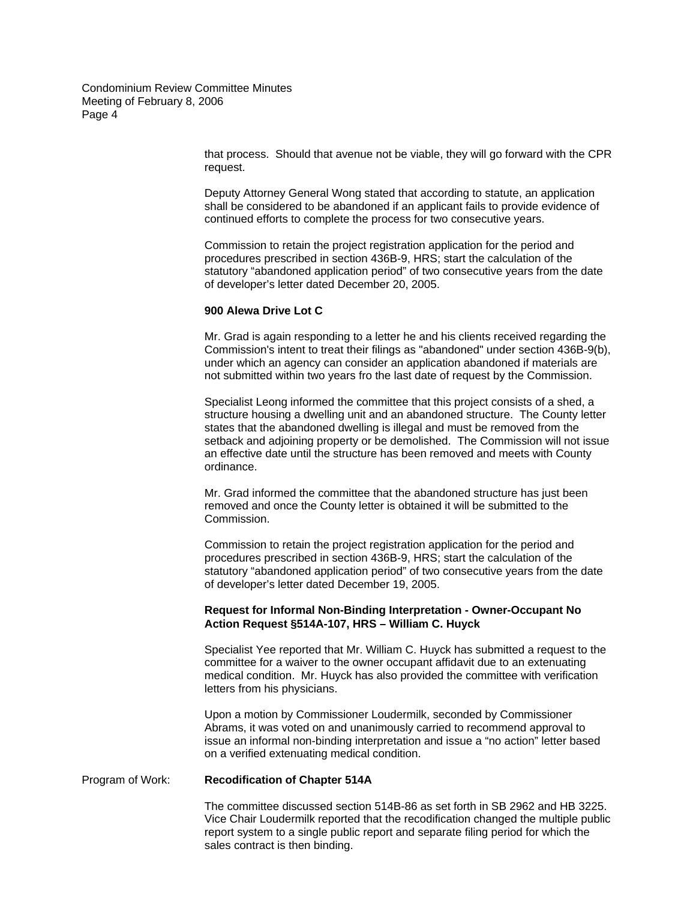> that process. Should that avenue not be viable, they will go forward with the CPR request.

Deputy Attorney General Wong stated that according to statute, an application shall be considered to be abandoned if an applicant fails to provide evidence of continued efforts to complete the process for two consecutive years.

Commission to retain the project registration application for the period and procedures prescribed in section 436B-9, HRS; start the calculation of the statutory "abandoned application period" of two consecutive years from the date of developer's letter dated December 20, 2005.

## **900 Alewa Drive Lot C**

Mr. Grad is again responding to a letter he and his clients received regarding the Commission's intent to treat their filings as "abandoned" under section 436B-9(b), under which an agency can consider an application abandoned if materials are not submitted within two years fro the last date of request by the Commission.

Specialist Leong informed the committee that this project consists of a shed, a structure housing a dwelling unit and an abandoned structure. The County letter states that the abandoned dwelling is illegal and must be removed from the setback and adjoining property or be demolished. The Commission will not issue an effective date until the structure has been removed and meets with County ordinance.

Mr. Grad informed the committee that the abandoned structure has just been removed and once the County letter is obtained it will be submitted to the Commission.

Commission to retain the project registration application for the period and procedures prescribed in section 436B-9, HRS; start the calculation of the statutory "abandoned application period" of two consecutive years from the date of developer's letter dated December 19, 2005.

# **Request for Informal Non-Binding Interpretation - Owner-Occupant No Action Request §514A-107, HRS – William C. Huyck**

Specialist Yee reported that Mr. William C. Huyck has submitted a request to the committee for a waiver to the owner occupant affidavit due to an extenuating medical condition. Mr. Huyck has also provided the committee with verification letters from his physicians.

Upon a motion by Commissioner Loudermilk, seconded by Commissioner Abrams, it was voted on and unanimously carried to recommend approval to issue an informal non-binding interpretation and issue a "no action" letter based on a verified extenuating medical condition.

## Program of Work: **Recodification of Chapter 514A**

The committee discussed section 514B-86 as set forth in SB 2962 and HB 3225. Vice Chair Loudermilk reported that the recodification changed the multiple public report system to a single public report and separate filing period for which the sales contract is then binding.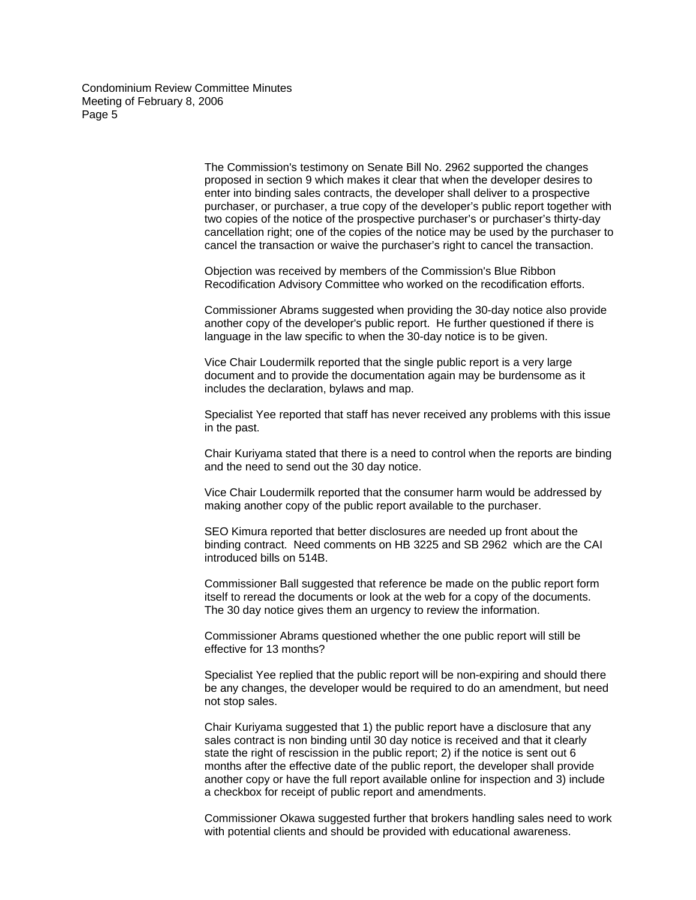> The Commission's testimony on Senate Bill No. 2962 supported the changes proposed in section 9 which makes it clear that when the developer desires to enter into binding sales contracts, the developer shall deliver to a prospective purchaser, or purchaser, a true copy of the developer's public report together with two copies of the notice of the prospective purchaser's or purchaser's thirty-day cancellation right; one of the copies of the notice may be used by the purchaser to cancel the transaction or waive the purchaser's right to cancel the transaction.

Objection was received by members of the Commission's Blue Ribbon Recodification Advisory Committee who worked on the recodification efforts.

Commissioner Abrams suggested when providing the 30-day notice also provide another copy of the developer's public report. He further questioned if there is language in the law specific to when the 30-day notice is to be given.

Vice Chair Loudermilk reported that the single public report is a very large document and to provide the documentation again may be burdensome as it includes the declaration, bylaws and map.

Specialist Yee reported that staff has never received any problems with this issue in the past.

Chair Kuriyama stated that there is a need to control when the reports are binding and the need to send out the 30 day notice.

Vice Chair Loudermilk reported that the consumer harm would be addressed by making another copy of the public report available to the purchaser.

SEO Kimura reported that better disclosures are needed up front about the binding contract. Need comments on HB 3225 and SB 2962 which are the CAI introduced bills on 514B.

Commissioner Ball suggested that reference be made on the public report form itself to reread the documents or look at the web for a copy of the documents. The 30 day notice gives them an urgency to review the information.

Commissioner Abrams questioned whether the one public report will still be effective for 13 months?

Specialist Yee replied that the public report will be non-expiring and should there be any changes, the developer would be required to do an amendment, but need not stop sales.

Chair Kuriyama suggested that 1) the public report have a disclosure that any sales contract is non binding until 30 day notice is received and that it clearly state the right of rescission in the public report; 2) if the notice is sent out 6 months after the effective date of the public report, the developer shall provide another copy or have the full report available online for inspection and 3) include a checkbox for receipt of public report and amendments.

Commissioner Okawa suggested further that brokers handling sales need to work with potential clients and should be provided with educational awareness.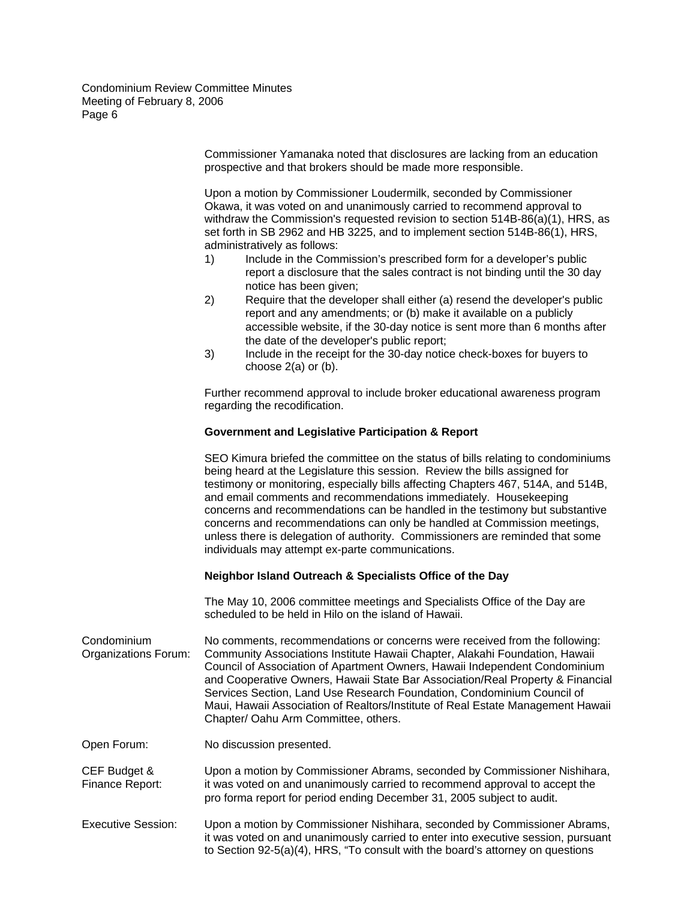> Commissioner Yamanaka noted that disclosures are lacking from an education prospective and that brokers should be made more responsible.

Upon a motion by Commissioner Loudermilk, seconded by Commissioner Okawa, it was voted on and unanimously carried to recommend approval to withdraw the Commission's requested revision to section 514B-86(a)(1), HRS, as set forth in SB 2962 and HB 3225, and to implement section 514B-86(1), HRS, administratively as follows:

- 1) Include in the Commission's prescribed form for a developer's public report a disclosure that the sales contract is not binding until the 30 day notice has been given;
- 2) Require that the developer shall either (a) resend the developer's public report and any amendments; or (b) make it available on a publicly accessible website, if the 30-day notice is sent more than 6 months after the date of the developer's public report;
- 3) Include in the receipt for the 30-day notice check-boxes for buyers to choose 2(a) or (b).

Further recommend approval to include broker educational awareness program regarding the recodification.

# **Government and Legislative Participation & Report**

SEO Kimura briefed the committee on the status of bills relating to condominiums being heard at the Legislature this session. Review the bills assigned for testimony or monitoring, especially bills affecting Chapters 467, 514A, and 514B, and email comments and recommendations immediately. Housekeeping concerns and recommendations can be handled in the testimony but substantive concerns and recommendations can only be handled at Commission meetings, unless there is delegation of authority. Commissioners are reminded that some individuals may attempt ex-parte communications.

# **Neighbor Island Outreach & Specialists Office of the Day**

The May 10, 2006 committee meetings and Specialists Office of the Day are scheduled to be held in Hilo on the island of Hawaii.

Condominium No comments, recommendations or concerns were received from the following: Organizations Forum: Community Associations Institute Hawaii Chapter, Alakahi Foundation, Hawaii Council of Association of Apartment Owners, Hawaii Independent Condominium and Cooperative Owners, Hawaii State Bar Association/Real Property & Financial Services Section, Land Use Research Foundation, Condominium Council of Maui, Hawaii Association of Realtors/Institute of Real Estate Management Hawaii Chapter/ Oahu Arm Committee, others.

Open Forum: No discussion presented.

CEF Budget & Upon a motion by Commissioner Abrams, seconded by Commissioner Nishihara, Finance Report: it was voted on and unanimously carried to recommend approval to accept the pro forma report for period ending December 31, 2005 subject to audit.

Executive Session: Upon a motion by Commissioner Nishihara, seconded by Commissioner Abrams, it was voted on and unanimously carried to enter into executive session, pursuant to Section 92-5(a)(4), HRS, "To consult with the board's attorney on questions